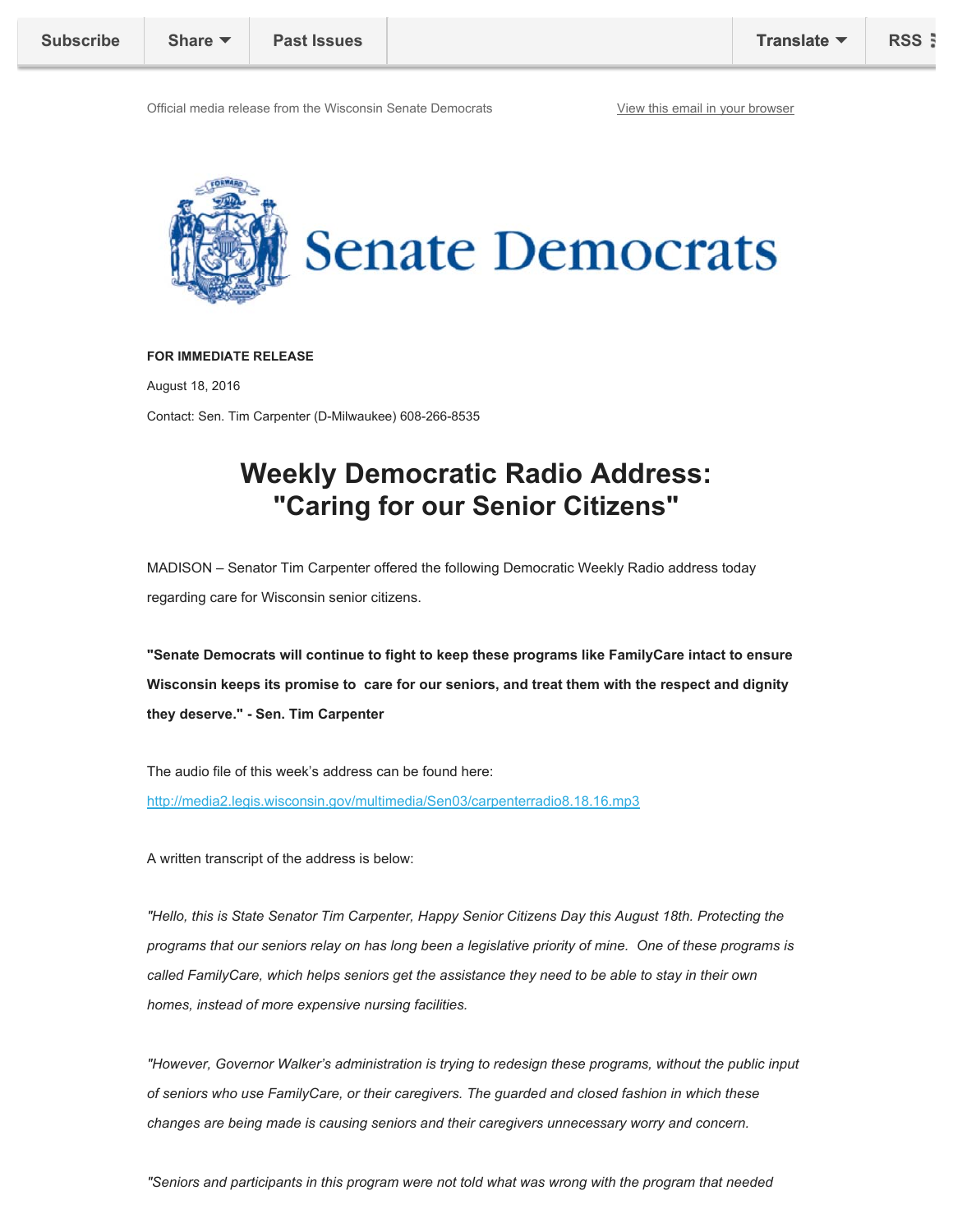Official media release from the Wisconsin Senate Democrats View Yiew this email in your browser



## **FOR IMMEDIATE RELEASE**

August 18, 2016

Contact: Sen. Tim Carpenter (D-Milwaukee) 608-266-8535

## **Weekly Democratic Radio Address: "Caring for our Senior Citizens"**

MADISON – Senator Tim Carpenter offered the following Democratic Weekly Radio address today regarding care for Wisconsin senior citizens.

**"Senate Democrats will continue to fight to keep these programs like FamilyCare intact to ensure Wisconsin keeps its promise to care for our seniors, and treat them with the respect and dignity they deserve." - Sen. Tim Carpenter** 

The audio file of this week's address can be found here: http://media2.legis.wisconsin.gov/multimedia/Sen03/carpenterradio8.18.16.mp3

A written transcript of the address is below:

*"Hello, this is State Senator Tim Carpenter, Happy Senior Citizens Day this August 18th. Protecting the programs that our seniors relay on has long been a legislative priority of mine. One of these programs is called FamilyCare, which helps seniors get the assistance they need to be able to stay in their own homes, instead of more expensive nursing facilities.* 

*"However, Governor Walker's administration is trying to redesign these programs, without the public input of seniors who use FamilyCare, or their caregivers. The guarded and closed fashion in which these changes are being made is causing seniors and their caregivers unnecessary worry and concern.*